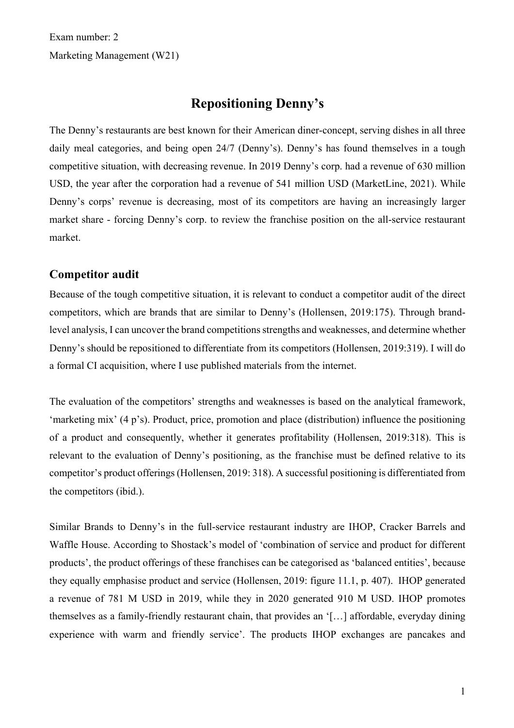Exam number: 2 Marketing Management (W21)

# **Repositioning Denny's**

The Denny's restaurants are best known for their American diner-concept, serving dishes in all three daily meal categories, and being open 24/7 (Denny's). Denny's has found themselves in a tough competitive situation, with decreasing revenue. In 2019 Denny's corp. had a revenue of 630 million USD, the year after the corporation had a revenue of 541 million USD (MarketLine, 2021). While Denny's corps' revenue is decreasing, most of its competitors are having an increasingly larger market share - forcing Denny's corp. to review the franchise position on the all-service restaurant market.

### **Competitor audit**

Because of the tough competitive situation, it is relevant to conduct a competitor audit of the direct competitors, which are brands that are similar to Denny's (Hollensen, 2019:175). Through brandlevel analysis, I can uncover the brand competitions strengths and weaknesses, and determine whether Denny's should be repositioned to differentiate from its competitors (Hollensen, 2019:319). I will do a formal CI acquisition, where I use published materials from the internet.

The evaluation of the competitors' strengths and weaknesses is based on the analytical framework, 'marketing mix' (4 p's). Product, price, promotion and place (distribution) influence the positioning of a product and consequently, whether it generates profitability (Hollensen, 2019:318). This is relevant to the evaluation of Denny's positioning, as the franchise must be defined relative to its competitor's product offerings (Hollensen, 2019: 318). A successful positioning is differentiated from the competitors (ibid.).

Similar Brands to Denny's in the full-service restaurant industry are IHOP, Cracker Barrels and Waffle House. According to Shostack's model of 'combination of service and product for different products', the product offerings of these franchises can be categorised as 'balanced entities', because they equally emphasise product and service (Hollensen, 2019: figure 11.1, p. 407). IHOP generated a revenue of 781 M USD in 2019, while they in 2020 generated 910 M USD. IHOP promotes themselves as a family-friendly restaurant chain, that provides an '[…] affordable, everyday dining experience with warm and friendly service'. The products IHOP exchanges are pancakes and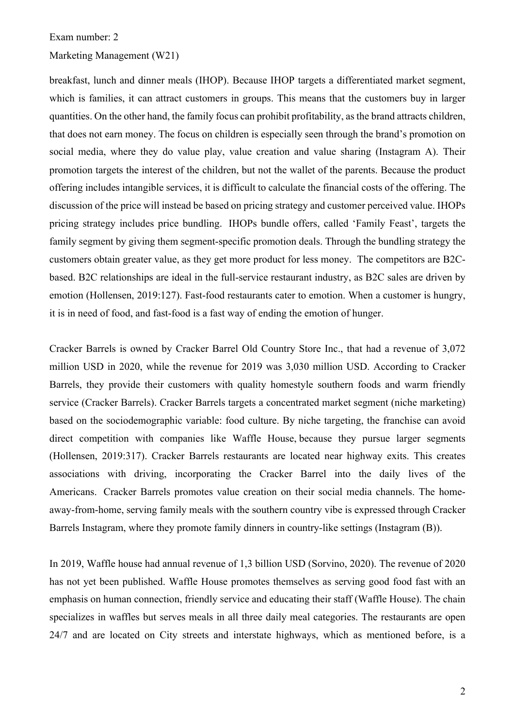#### Marketing Management (W21)

breakfast, lunch and dinner meals (IHOP). Because IHOP targets a differentiated market segment, which is families, it can attract customers in groups. This means that the customers buy in larger quantities. On the other hand, the family focus can prohibit profitability, as the brand attracts children, that does not earn money. The focus on children is especially seen through the brand's promotion on social media, where they do value play, value creation and value sharing (Instagram A). Their promotion targets the interest of the children, but not the wallet of the parents. Because the product offering includes intangible services, it is difficult to calculate the financial costs of the offering. The discussion of the price will instead be based on pricing strategy and customer perceived value. IHOPs pricing strategy includes price bundling. IHOPs bundle offers, called 'Family Feast', targets the family segment by giving them segment-specific promotion deals. Through the bundling strategy the customers obtain greater value, as they get more product for less money. The competitors are B2Cbased. B2C relationships are ideal in the full-service restaurant industry, as B2C sales are driven by emotion (Hollensen, 2019:127). Fast-food restaurants cater to emotion. When a customer is hungry, it is in need of food, and fast-food is a fast way of ending the emotion of hunger.

Cracker Barrels is owned by Cracker Barrel Old Country Store Inc., that had a revenue of 3,072 million USD in 2020, while the revenue for 2019 was 3,030 million USD. According to Cracker Barrels, they provide their customers with quality homestyle southern foods and warm friendly service (Cracker Barrels). Cracker Barrels targets a concentrated market segment (niche marketing) based on the sociodemographic variable: food culture. By niche targeting, the franchise can avoid direct competition with companies like Waffle House, because they pursue larger segments (Hollensen, 2019:317). Cracker Barrels restaurants are located near highway exits. This creates associations with driving, incorporating the Cracker Barrel into the daily lives of the Americans. Cracker Barrels promotes value creation on their social media channels. The homeaway-from-home, serving family meals with the southern country vibe is expressed through Cracker Barrels Instagram, where they promote family dinners in country-like settings (Instagram (B)).

In 2019, Waffle house had annual revenue of 1,3 billion USD (Sorvino, 2020). The revenue of 2020 has not yet been published. Waffle House promotes themselves as serving good food fast with an emphasis on human connection, friendly service and educating their staff (Waffle House). The chain specializes in waffles but serves meals in all three daily meal categories. The restaurants are open 24/7 and are located on City streets and interstate highways, which as mentioned before, is a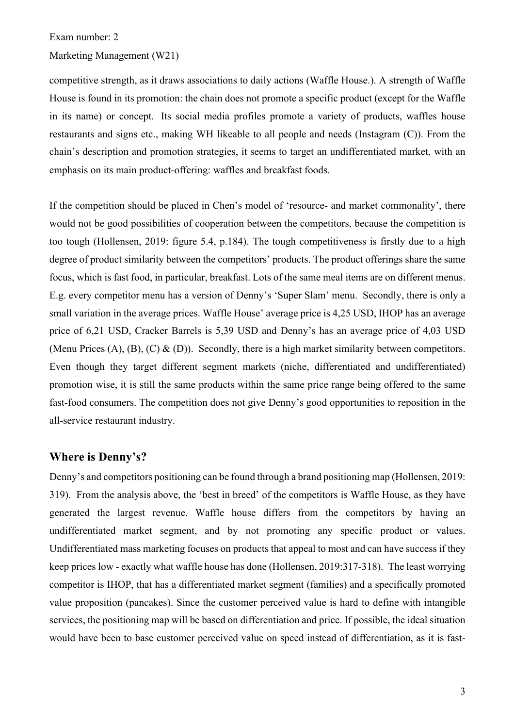#### Marketing Management (W21)

competitive strength, as it draws associations to daily actions (Waffle House.). A strength of Waffle House is found in its promotion: the chain does not promote a specific product (except for the Waffle in its name) or concept. Its social media profiles promote a variety of products, waffles house restaurants and signs etc., making WH likeable to all people and needs (Instagram (C)). From the chain's description and promotion strategies, it seems to target an undifferentiated market, with an emphasis on its main product-offering: waffles and breakfast foods.

If the competition should be placed in Chen's model of 'resource- and market commonality', there would not be good possibilities of cooperation between the competitors, because the competition is too tough (Hollensen, 2019: figure 5.4, p.184). The tough competitiveness is firstly due to a high degree of product similarity between the competitors' products. The product offerings share the same focus, which is fast food, in particular, breakfast. Lots of the same meal items are on different menus. E.g. every competitor menu has a version of Denny's 'Super Slam' menu. Secondly, there is only a small variation in the average prices. Waffle House' average price is 4,25 USD, IHOP has an average price of 6,21 USD, Cracker Barrels is 5,39 USD and Denny's has an average price of 4,03 USD (Menu Prices  $(A)$ ,  $(B)$ ,  $(C)$  &  $(D)$ ). Secondly, there is a high market similarity between competitors. Even though they target different segment markets (niche, differentiated and undifferentiated) promotion wise, it is still the same products within the same price range being offered to the same fast-food consumers. The competition does not give Denny's good opportunities to reposition in the all-service restaurant industry.

# **Where is Denny's?**

Denny's and competitors positioning can be found through a brand positioning map (Hollensen, 2019: 319). From the analysis above, the 'best in breed' of the competitors is Waffle House, as they have generated the largest revenue. Waffle house differs from the competitors by having an undifferentiated market segment, and by not promoting any specific product or values. Undifferentiated mass marketing focuses on products that appeal to most and can have success if they keep prices low - exactly what waffle house has done (Hollensen, 2019:317-318). The least worrying competitor is IHOP, that has a differentiated market segment (families) and a specifically promoted value proposition (pancakes). Since the customer perceived value is hard to define with intangible services, the positioning map will be based on differentiation and price. If possible, the ideal situation would have been to base customer perceived value on speed instead of differentiation, as it is fast-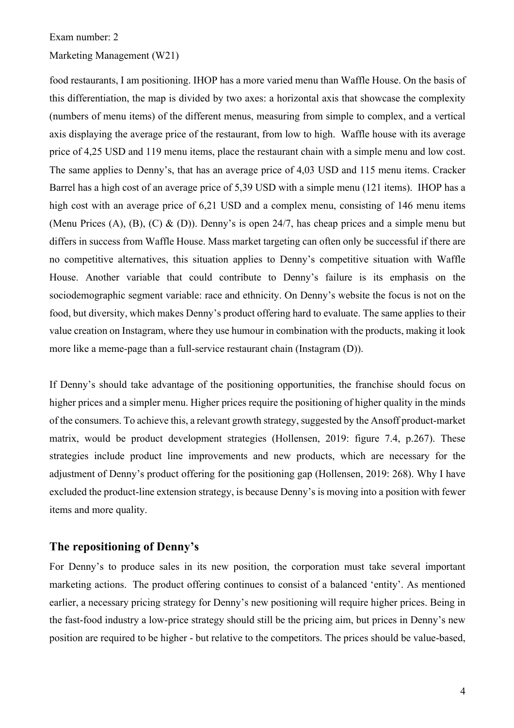#### Exam number: 2

### Marketing Management (W21)

food restaurants, I am positioning. IHOP has a more varied menu than Waffle House. On the basis of this differentiation, the map is divided by two axes: a horizontal axis that showcase the complexity (numbers of menu items) of the different menus, measuring from simple to complex, and a vertical axis displaying the average price of the restaurant, from low to high. Waffle house with its average price of 4,25 USD and 119 menu items, place the restaurant chain with a simple menu and low cost. The same applies to Denny's, that has an average price of 4,03 USD and 115 menu items. Cracker Barrel has a high cost of an average price of 5,39 USD with a simple menu (121 items). IHOP has a high cost with an average price of 6.21 USD and a complex menu, consisting of 146 menu items (Menu Prices (A), (B), (C) & (D)). Denny's is open 24/7, has cheap prices and a simple menu but differs in success from Waffle House. Mass market targeting can often only be successful if there are no competitive alternatives, this situation applies to Denny's competitive situation with Waffle House. Another variable that could contribute to Denny's failure is its emphasis on the sociodemographic segment variable: race and ethnicity. On Denny's website the focus is not on the food, but diversity, which makes Denny's product offering hard to evaluate. The same applies to their value creation on Instagram, where they use humour in combination with the products, making it look more like a meme-page than a full-service restaurant chain (Instagram (D)).

If Denny's should take advantage of the positioning opportunities, the franchise should focus on higher prices and a simpler menu. Higher prices require the positioning of higher quality in the minds of the consumers. To achieve this, a relevant growth strategy, suggested by the Ansoff product-market matrix, would be product development strategies (Hollensen, 2019: figure 7.4, p.267). These strategies include product line improvements and new products, which are necessary for the adjustment of Denny's product offering for the positioning gap (Hollensen, 2019: 268). Why I have excluded the product-line extension strategy, is because Denny's is moving into a position with fewer items and more quality.

# **The repositioning of Denny's**

For Denny's to produce sales in its new position, the corporation must take several important marketing actions. The product offering continues to consist of a balanced 'entity'. As mentioned earlier, a necessary pricing strategy for Denny's new positioning will require higher prices. Being in the fast-food industry a low-price strategy should still be the pricing aim, but prices in Denny's new position are required to be higher - but relative to the competitors. The prices should be value-based,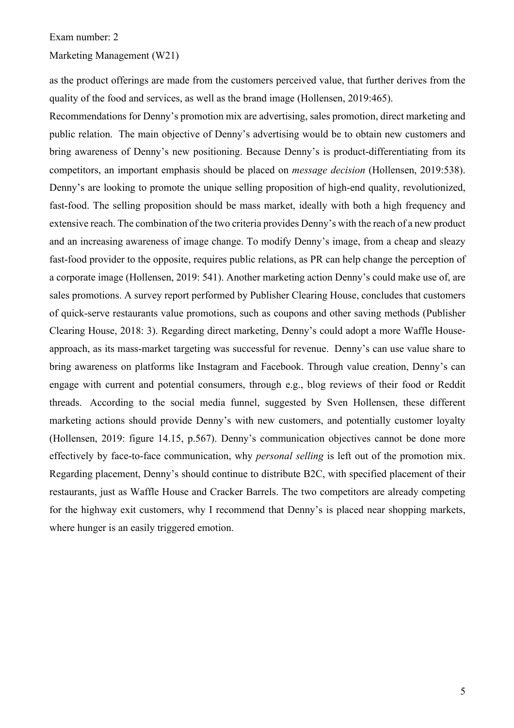### Marketing Management (W21)

as the product offerings are made from the customers perceived value, that further derives from the quality of the food and services, as well as the brand image (Hollensen, 2019:465).

Recommendations for Denny's promotion mix are advertising, sales promotion, direct marketing and public relation. The main objective of Denny's advertising would be to obtain new customers and bring awareness of Denny's new positioning. Because Denny's is product-differentiating from its competitors, an important emphasis should be placed on *message decision* (Hollensen, 2019:538). Denny's are looking to promote the unique selling proposition of high-end quality, revolutionized, fast-food. The selling proposition should be mass market, ideally with both a high frequency and extensive reach. The combination of the two criteria provides Denny's with the reach of a new product and an increasing awareness of image change. To modify Denny's image, from a cheap and sleazy fast-food provider to the opposite, requires public relations, as PR can help change the perception of a corporate image (Hollensen, 2019: 541). Another marketing action Denny's could make use of, are sales promotions. A survey report performed by Publisher Clearing House, concludes that customers of quick-serve restaurants value promotions, such as coupons and other saving methods (Publisher Clearing House, 2018: 3). Regarding direct marketing, Denny's could adopt a more Waffle Houseapproach, as its mass-market targeting was successful for revenue. Denny's can use value share to bring awareness on platforms like Instagram and Facebook. Through value creation, Denny's can engage with current and potential consumers, through e.g., blog reviews of their food or Reddit threads. According to the social media funnel, suggested by Sven Hollensen, these different marketing actions should provide Denny's with new customers, and potentially customer loyalty (Hollensen, 2019: figure 14.15, p.567). Denny's communication objectives cannot be done more effectively by face-to-face communication, why *personal selling* is left out of the promotion mix. Regarding placement, Denny's should continue to distribute B2C, with specified placement of their restaurants, just as Waffle House and Cracker Barrels. The two competitors are already competing for the highway exit customers, why I recommend that Denny's is placed near shopping markets, where hunger is an easily triggered emotion.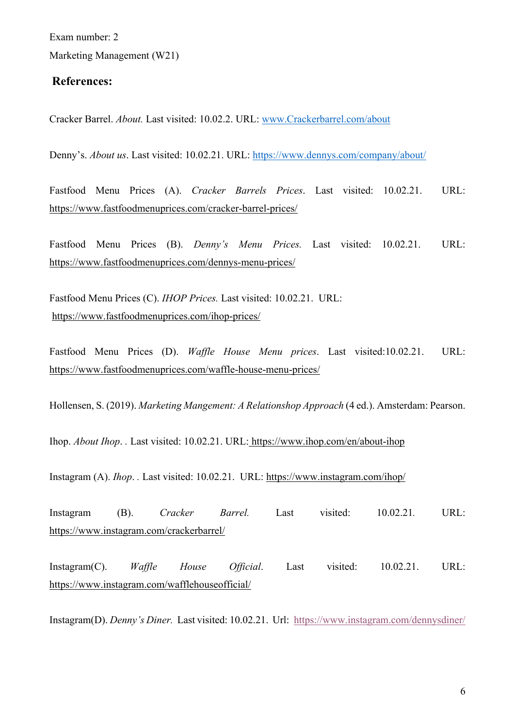Exam number: 2 Marketing Management (W21)

## **References:**

Cracker Barrel. *About.* Last visited: 10.02.2. URL: www.Crackerbarrel.com/about

Denny's. *About us*. Last visited: 10.02.21. URL: https://www.dennys.com/company/about/

Fastfood Menu Prices (A). *Cracker Barrels Prices*. Last visited: 10.02.21. URL: https://www.fastfoodmenuprices.com/cracker-barrel-prices/

Fastfood Menu Prices (B). *Denny's Menu Prices.* Last visited: 10.02.21. URL: https://www.fastfoodmenuprices.com/dennys-menu-prices/

Fastfood Menu Prices (C). *IHOP Prices.* Last visited: 10.02.21. URL: https://www.fastfoodmenuprices.com/ihop-prices/

Fastfood Menu Prices (D). *Waffle House Menu prices*. Last visited:10.02.21. URL: https://www.fastfoodmenuprices.com/waffle-house-menu-prices/

Hollensen, S. (2019). *Marketing Mangement: A Relationshop Approach* (4 ed.). Amsterdam: Pearson.

Ihop. *About Ihop*. *.* Last visited: 10.02.21. URL: https://www.ihop.com/en/about-ihop

Instagram (A). *Ihop*. *.* Last visited: 10.02.21. URL: https://www.instagram.com/ihop/

Instagram (B). *Cracker Barrel.* Last visited: 10.02.21*.* URL: https://www.instagram.com/crackerbarrel/

Instagram(C). *Waffle House Official*. Last visited: 10.02.21. URL: https://www.instagram.com/wafflehouseofficial/

Instagram(D). *Denny's Diner.* Last visited: 10.02.21. Url: https://www.instagram.com/dennysdiner/